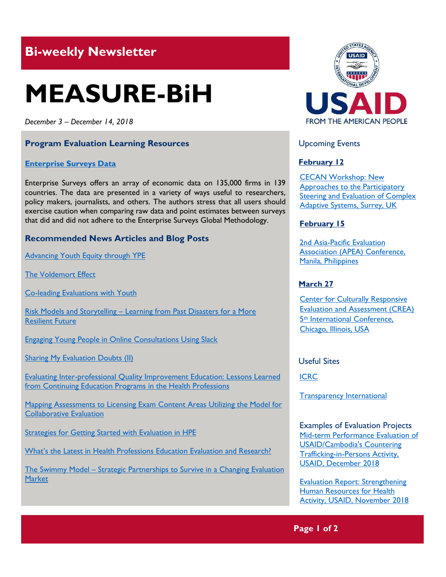## **Bi-weekly Newsletter**

# **MEASURE-BiH**

*December 3 – December 14, 2018*

#### **Program Evaluation Learning Resources**

#### **[Enterprise Surveys Data](http://www.enterprisesurveys.org/data)**

Enterprise Surveys offers an array of economic data on 135,000 firms in 139 countries. The data are presented in a variety of ways useful to researchers, policy makers, journalists, and others. The authors stress that all users should exercise caution when comparing raw data and point estimates between surveys that did and did not adhere to the Enterprise Surveys Global Methodology.

#### **Recommended News Articles and Blog Posts**

**Advancing Youth Equity through YPE** 

[The Voldemort Effect](https://aea365.org/blog/eers-week-the-voldemort-effect-by-jennifer-hamilton/)

[Co-leading Evaluations with Youth](https://aea365.org/blog/yfe-tig-week-co-leading-evaluations-with-youth-by-cara-karter-and-julian-brown/)

Risk Models and Storytelling - Learning from Past Disasters for a More [Resilient Future](https://blogs.worldbank.org/sustainablecities/risk-models-and-storytelling-learning-past-disasters-more-resilient-future)

[Engaging Young People in Online Consultations Using Slack](https://aea365.org/blog/yfe-tig-week-engaging-young-people-in-online-consultations-using-slack-by-dr-natasha-koustova-and-kimberly-bowman/)

[Sharing My Evaluation Doubts \(II\)](https://aea365.org/blog/sharing-my-evaluation-doubts-ii-by-sara-vaca/)

[Evaluating Inter-professional Quality Improvement Education: Lessons Learned](https://aea365.org/blog/hpeer-tig-week-evaluating-inter-professional-quality-improvement-education-lessons-learned-from-continuing-education-programs-in-the-health-professions-by-asma-m-ali-and-francis-kwakwa/)  [from Continuing Education Programs in the Health Professions](https://aea365.org/blog/hpeer-tig-week-evaluating-inter-professional-quality-improvement-education-lessons-learned-from-continuing-education-programs-in-the-health-professions-by-asma-m-ali-and-francis-kwakwa/)

[Mapping Assessments to Licensing Exam Content Areas Utilizing the Model for](https://aea365.org/blog/hpeer-tig-week-mapping-assessments-to-licensing-exam-content-areas-utilizing-the-model-for-collaborative-evaluation-by-davina-m-devries/)  [Collaborative Evaluation](https://aea365.org/blog/hpeer-tig-week-mapping-assessments-to-licensing-exam-content-areas-utilizing-the-model-for-collaborative-evaluation-by-davina-m-devries/)

[Strategies for Getting Started with Evaluation in HPE](https://aea365.org/blog/hpeer-tig-week-strategies-for-getting-started-with-evaluation-in-hpe-by-donna-lancianese/)

[What's the Latest in Health Professions Education Evaluation and Research?](https://aea365.org/blog/hpeer-tig-week-whats-the-latest-in-health-professions-education-evaluation-and-research-by-anne-vo-asma-ali-jessica-harlan-and-patrick-barlow/)

The Swimmy Model – [Strategic Partnerships to Survive in a Changing Evaluation](https://aea365.org/blog/eers-week-the-swimmy-model-strategic-partnerships-to-survive-in-a-changing-evaluation-market-by-kirk-knestis/)  **[Market](https://aea365.org/blog/eers-week-the-swimmy-model-strategic-partnerships-to-survive-in-a-changing-evaluation-market-by-kirk-knestis/)** 



#### Upcoming Events

#### **February 12**

[CECAN Workshop: New](https://www.cecan.ac.uk/events/cecan-workshop-new-approaches-to-participatory-steering-and-evaluation-of-complex-adaptive)  [Approaches to the Participatory](https://www.cecan.ac.uk/events/cecan-workshop-new-approaches-to-participatory-steering-and-evaluation-of-complex-adaptive)  [Steering and Evaluation of Complex](https://www.cecan.ac.uk/events/cecan-workshop-new-approaches-to-participatory-steering-and-evaluation-of-complex-adaptive)  [Adaptive Systems, Surrey, UK](https://www.cecan.ac.uk/events/cecan-workshop-new-approaches-to-participatory-steering-and-evaluation-of-complex-adaptive) 

#### **February 15**

[2nd Asia-Pacific Evaluation](http://apeaconference2019.com/)  [Association \(APEA\) Conference,](http://apeaconference2019.com/)  Manila, Philippines

#### **March 27**

**Center for Culturally Responsive** [Evaluation and Assessment \(CREA\)](https://crea.education.illinois.edu/home/fifth-international-conference)  5th [International Conference,](https://crea.education.illinois.edu/home/fifth-international-conference)  [Chicago, Illinois, USA](https://crea.education.illinois.edu/home/fifth-international-conference) 

Useful Sites

[ICRC](https://www.icrc.org/en)

[Transparency International](https://www.transparency.org/)

Examples of Evaluation Projects [Mid-term Performance Evaluation of](https://dec.usaid.gov/dec/content/Detail_Presto.aspx?ctID=ODVhZjk4NWQtM2YyMi00YjRmLTkxNjktZTcxMjM2NDBmY2Uy&rID=NTE0NTc3&qrs=RmFsc2U%3d&q=KERvY3VtZW50cy5CaWJ0eXBlX05hbWU6KCgiU3BlY2lhbCBFdmFsdWF0aW9uIikgT1IgKCJGaW5hbCBFdmFsdWF0aW9uIFJlcG9ydCIpKSk%3d&ph=VHJ1ZQ%3d%3d&bckToL=VHJ1ZQ%3d%3d&rrtc=VHJ1ZQ%3d%3d)  [USAID/Cambodia's Countering](https://dec.usaid.gov/dec/content/Detail_Presto.aspx?ctID=ODVhZjk4NWQtM2YyMi00YjRmLTkxNjktZTcxMjM2NDBmY2Uy&rID=NTE0NTc3&qrs=RmFsc2U%3d&q=KERvY3VtZW50cy5CaWJ0eXBlX05hbWU6KCgiU3BlY2lhbCBFdmFsdWF0aW9uIikgT1IgKCJGaW5hbCBFdmFsdWF0aW9uIFJlcG9ydCIpKSk%3d&ph=VHJ1ZQ%3d%3d&bckToL=VHJ1ZQ%3d%3d&rrtc=VHJ1ZQ%3d%3d)  [Trafficking-in-Persons Activity,](https://dec.usaid.gov/dec/content/Detail_Presto.aspx?ctID=ODVhZjk4NWQtM2YyMi00YjRmLTkxNjktZTcxMjM2NDBmY2Uy&rID=NTE0NTc3&qrs=RmFsc2U%3d&q=KERvY3VtZW50cy5CaWJ0eXBlX05hbWU6KCgiU3BlY2lhbCBFdmFsdWF0aW9uIikgT1IgKCJGaW5hbCBFdmFsdWF0aW9uIFJlcG9ydCIpKSk%3d&ph=VHJ1ZQ%3d%3d&bckToL=VHJ1ZQ%3d%3d&rrtc=VHJ1ZQ%3d%3d)  [USAID, December](https://dec.usaid.gov/dec/content/Detail_Presto.aspx?ctID=ODVhZjk4NWQtM2YyMi00YjRmLTkxNjktZTcxMjM2NDBmY2Uy&rID=NTE0NTc3&qrs=RmFsc2U%3d&q=KERvY3VtZW50cy5CaWJ0eXBlX05hbWU6KCgiU3BlY2lhbCBFdmFsdWF0aW9uIikgT1IgKCJGaW5hbCBFdmFsdWF0aW9uIFJlcG9ydCIpKSk%3d&ph=VHJ1ZQ%3d%3d&bckToL=VHJ1ZQ%3d%3d&rrtc=VHJ1ZQ%3d%3d) 2018

[Evaluation Report: Strengthening](https://dec.usaid.gov/dec/content/Detail_Presto.aspx?ctID=ODVhZjk4NWQtM2YyMi00YjRmLTkxNjktZTcxMjM2NDBmY2Uy&rID=NTE0MTky&qrs=RmFsc2U%3d&q=KERvY3VtZW50cy5CaWJ0eXBlX05hbWU6KCgiU3BlY2lhbCBFdmFsdWF0aW9uIikgT1IgKCJGaW5hbCBFdmFsdWF0aW9uIFJlcG9ydCIpKSk%3d&ph=VHJ1ZQ%3d%3d&bckToL=VHJ1ZQ%3d%3d&rrtc=VHJ1ZQ%3d%3d)  [Human Resources for Health](https://dec.usaid.gov/dec/content/Detail_Presto.aspx?ctID=ODVhZjk4NWQtM2YyMi00YjRmLTkxNjktZTcxMjM2NDBmY2Uy&rID=NTE0MTky&qrs=RmFsc2U%3d&q=KERvY3VtZW50cy5CaWJ0eXBlX05hbWU6KCgiU3BlY2lhbCBFdmFsdWF0aW9uIikgT1IgKCJGaW5hbCBFdmFsdWF0aW9uIFJlcG9ydCIpKSk%3d&ph=VHJ1ZQ%3d%3d&bckToL=VHJ1ZQ%3d%3d&rrtc=VHJ1ZQ%3d%3d)  **Activity, [USAID, November](https://dec.usaid.gov/dec/content/Detail_Presto.aspx?ctID=ODVhZjk4NWQtM2YyMi00YjRmLTkxNjktZTcxMjM2NDBmY2Uy&rID=NTE0MTky&qrs=RmFsc2U%3d&q=KERvY3VtZW50cy5CaWJ0eXBlX05hbWU6KCgiU3BlY2lhbCBFdmFsdWF0aW9uIikgT1IgKCJGaW5hbCBFdmFsdWF0aW9uIFJlcG9ydCIpKSk%3d&ph=VHJ1ZQ%3d%3d&bckToL=VHJ1ZQ%3d%3d&rrtc=VHJ1ZQ%3d%3d) 2018** 

**Page 1 of 2**